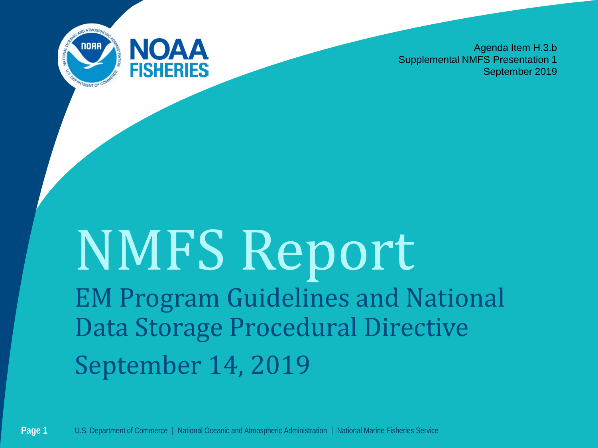

Agenda Item H.3.b Supplemental NMFS Presentation 1 September 2019

# NMFS Report EM Program Guidelines and National Data Storage Procedural Directive September 14, 2019

**Page 1** U.S. Department of Commerce | National Oceanic and Atmospheric Administration | National Marine Fisheries Service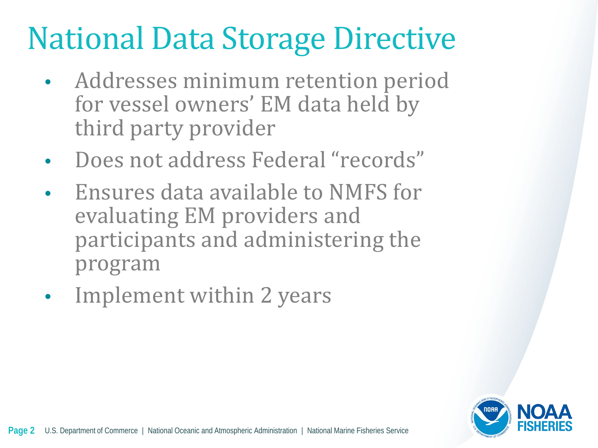### National Data Storage Directive

- Addresses minimum retention period for vessel owners' EM data held by third party provider
- Does not address Federal "records"
- Ensures data available to NMFS for evaluating EM providers and participants and administering the program
- Implement within 2 years

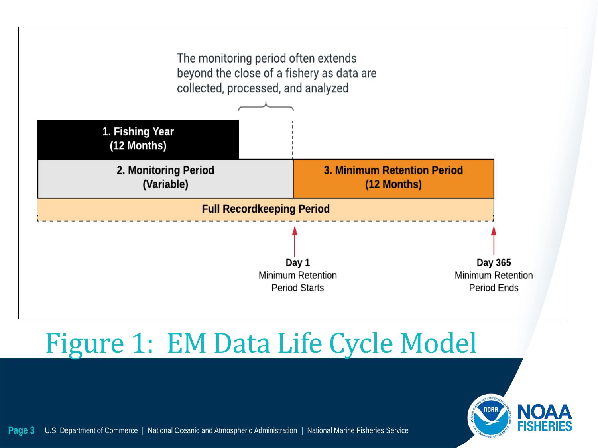

#### Figure 1: EM Data Life Cycle Model



**Page 3** U.S. Department of Commerce | National Oceanic and Atmospheric Administration | National Marine Fisheries Service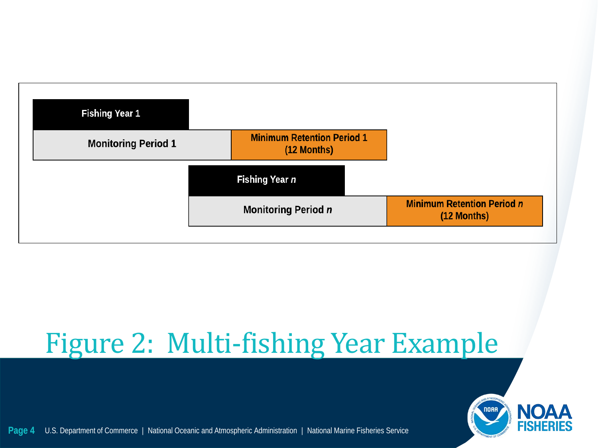| <b>Fishing Year 1</b>      |                                                  |  |                                                  |
|----------------------------|--------------------------------------------------|--|--------------------------------------------------|
| <b>Monitoring Period 1</b> | <b>Minimum Retention Period 1</b><br>(12 Months) |  |                                                  |
|                            | <b>Fishing Year n</b>                            |  |                                                  |
|                            | <b>Monitoring Period n</b>                       |  | <b>Minimum Retention Period n</b><br>(12 Months) |
|                            |                                                  |  |                                                  |

#### Figure 2: Multi-fishing Year Example



**Page 4** U.S. Department of Commerce | National Oceanic and Atmospheric Administration | National Marine Fisheries Service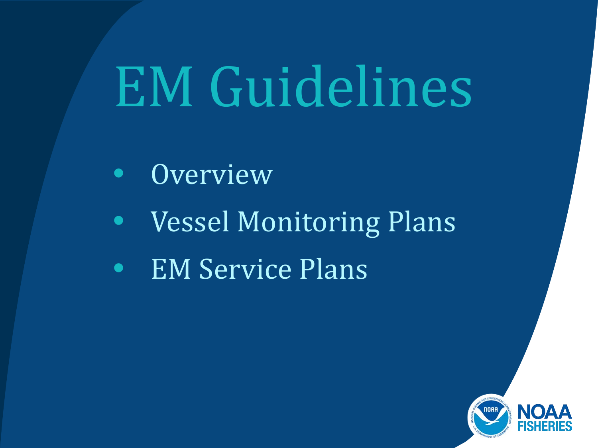# EM Guidelines

- Overview
- Vessel Monitoring Plans
- EM Service Plans

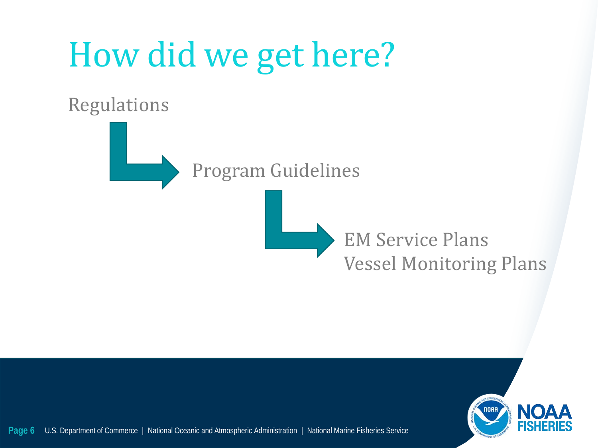# How did we get here?

Regulations

Program Guidelines





Page 6 U.S. Department of Commerce | National Oceanic and Atmospheric Administration | National Marine Fisheries Service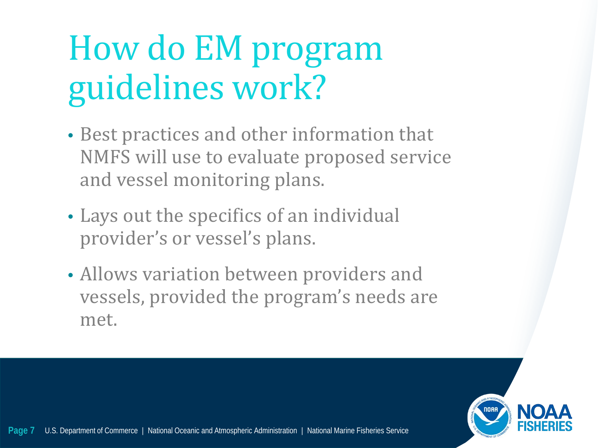# How do EM program guidelines work?

- Best practices and other information that NMFS will use to evaluate proposed service and vessel monitoring plans.
- Lays out the specifics of an individual provider's or vessel's plans.
- Allows variation between providers and vessels, provided the program's needs are met.

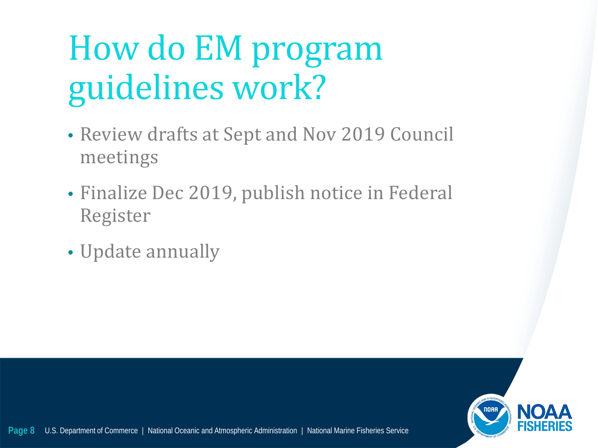# How do EM program guidelines work?

- Review drafts at Sept and Nov 2019 Council meetings
- Finalize Dec 2019, publish notice in Federal Register
- Update annually

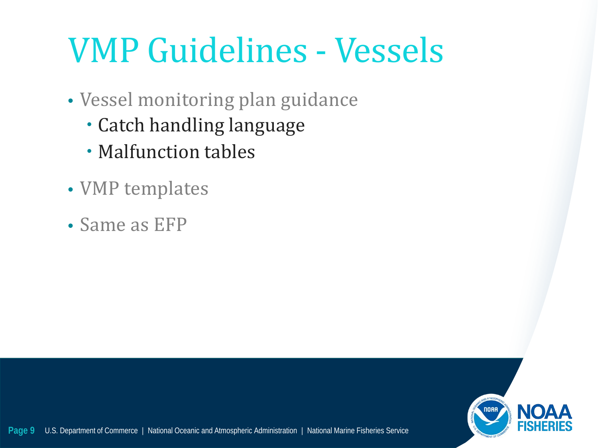# VMP Guidelines - Vessels

- Vessel monitoring plan guidance
	- Catch handling language
	- Malfunction tables
- VMP templates
- Same as EFP

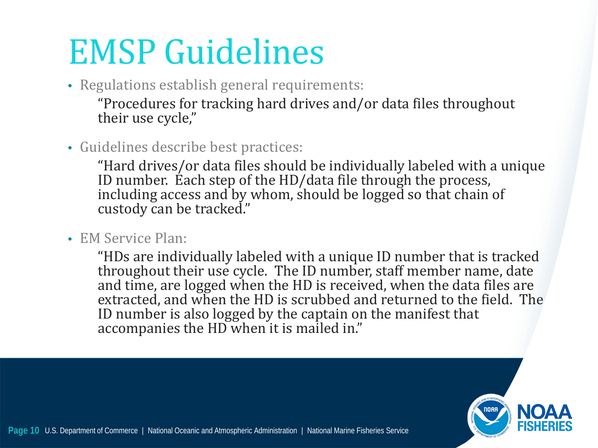## EMSP Guidelines

- Regulations establish general requirements: "Procedures for tracking hard drives and/or data files throughout their use cycle,"
- Guidelines describe best practices:

"Hard drives/or data files should be individually labeled with a unique ID number. Each step of the HD/data file through the process, including access and by whom, should be logged so that chain of custody can be tracked."

• EM Service Plan:

"HDs are individually labeled with a unique ID number that is tracked throughout their use cycle. The ID number, staff member name, date and time, are logged when the HD is received, when the data files are extracted, and when the HD is scrubbed and returned to the field. The ID number is also logged by the captain on the manifest that accompanies the HD when it is mailed in."

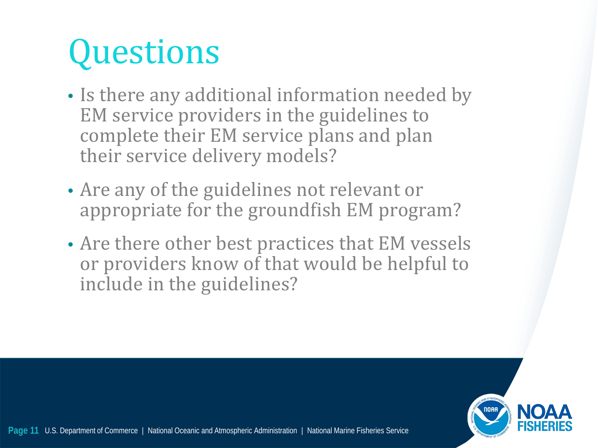# **Questions**

- Is there any additional information needed by EM service providers in the guidelines to complete their EM service plans and plan their service delivery models?
- Are any of the guidelines not relevant or appropriate for the groundfish EM program?
- Are there other best practices that EM vessels or providers know of that would be helpful to include in the guidelines?